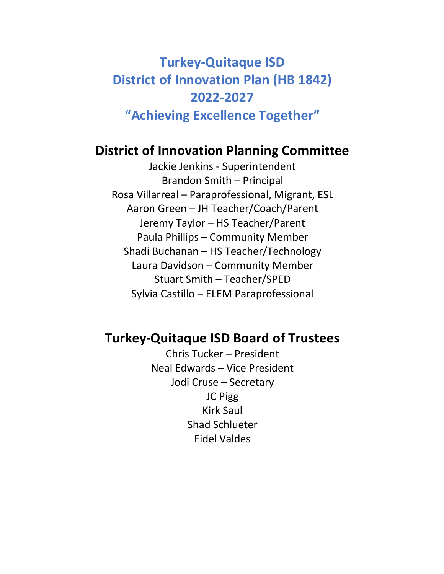# **Turkey-Quitaque ISD District of Innovation Plan (HB 1842) 2022-2027 "Achieving Excellence Together"**

# **District of Innovation Planning Committee**

Jackie Jenkins - Superintendent Brandon Smith – Principal Rosa Villarreal – Paraprofessional, Migrant, ESL Aaron Green – JH Teacher/Coach/Parent Jeremy Taylor – HS Teacher/Parent Paula Phillips – Community Member Shadi Buchanan – HS Teacher/Technology Laura Davidson – Community Member Stuart Smith – Teacher/SPED Sylvia Castillo – ELEM Paraprofessional

# **Turkey-Quitaque ISD Board of Trustees**

Chris Tucker – President Neal Edwards – Vice President Jodi Cruse – Secretary JC Pigg Kirk Saul Shad Schlueter Fidel Valdes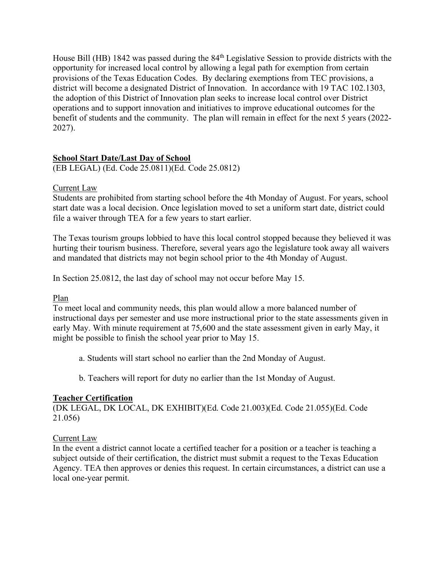House Bill (HB) 1842 was passed during the 84th Legislative Session to provide districts with the opportunity for increased local control by allowing a legal path for exemption from certain provisions of the Texas Education Codes. By declaring exemptions from TEC provisions, a district will become a designated District of Innovation. In accordance with 19 TAC 102.1303, the adoption of this District of Innovation plan seeks to increase local control over District operations and to support innovation and initiatives to improve educational outcomes for the benefit of students and the community. The plan will remain in effect for the next 5 years (2022- 2027).

#### **School Start Date/Last Day of School**

(EB LEGAL) (Ed. Code 25.0811)(Ed. Code 25.0812)

#### Current Law

Students are prohibited from starting school before the 4th Monday of August. For years, school start date was a local decision. Once legislation moved to set a uniform start date, district could file a waiver through TEA for a few years to start earlier.

The Texas tourism groups lobbied to have this local control stopped because they believed it was hurting their tourism business. Therefore, several years ago the legislature took away all waivers and mandated that districts may not begin school prior to the 4th Monday of August.

In Section 25.0812, the last day of school may not occur before May 15.

#### Plan

To meet local and community needs, this plan would allow a more balanced number of instructional days per semester and use more instructional prior to the state assessments given in early May. With minute requirement at 75,600 and the state assessment given in early May, it might be possible to finish the school year prior to May 15.

- a. Students will start school no earlier than the 2nd Monday of August.
- b. Teachers will report for duty no earlier than the 1st Monday of August.

#### **Teacher Certification**

(DK LEGAL, DK LOCAL, DK EXHIBIT)(Ed. Code 21.003)(Ed. Code 21.055)(Ed. Code 21.056)

#### Current Law

In the event a district cannot locate a certified teacher for a position or a teacher is teaching a subject outside of their certification, the district must submit a request to the Texas Education Agency. TEA then approves or denies this request. In certain circumstances, a district can use a local one-year permit.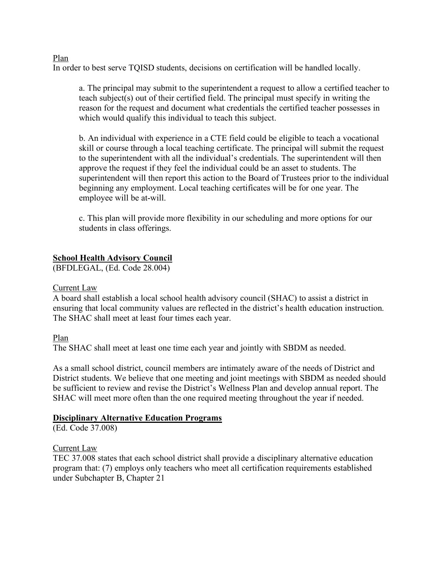#### Plan

In order to best serve TQISD students, decisions on certification will be handled locally.

a. The principal may submit to the superintendent a request to allow a certified teacher to teach subject(s) out of their certified field. The principal must specify in writing the reason for the request and document what credentials the certified teacher possesses in which would qualify this individual to teach this subject.

b. An individual with experience in a CTE field could be eligible to teach a vocational skill or course through a local teaching certificate. The principal will submit the request to the superintendent with all the individual's credentials. The superintendent will then approve the request if they feel the individual could be an asset to students. The superintendent will then report this action to the Board of Trustees prior to the individual beginning any employment. Local teaching certificates will be for one year. The employee will be at-will.

c. This plan will provide more flexibility in our scheduling and more options for our students in class offerings.

#### **School Health Advisory Council**

(BFDLEGAL, (Ed. Code 28.004)

#### Current Law

A board shall establish a local school health advisory council (SHAC) to assist a district in ensuring that local community values are reflected in the district's health education instruction. The SHAC shall meet at least four times each year.

#### Plan

The SHAC shall meet at least one time each year and jointly with SBDM as needed.

As a small school district, council members are intimately aware of the needs of District and District students. We believe that one meeting and joint meetings with SBDM as needed should be sufficient to review and revise the District's Wellness Plan and develop annual report. The SHAC will meet more often than the one required meeting throughout the year if needed.

#### **Disciplinary Alternative Education Programs**

(Ed. Code 37.008)

#### Current Law

TEC 37.008 states that each school district shall provide a disciplinary alternative education program that: (7) employs only teachers who meet all certification requirements established under Subchapter B, Chapter 21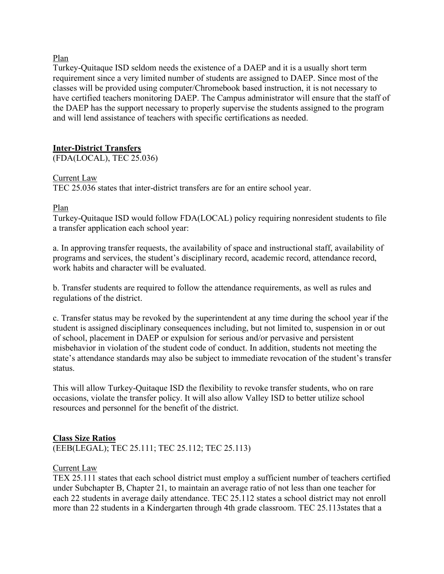Plan

Turkey-Quitaque ISD seldom needs the existence of a DAEP and it is a usually short term requirement since a very limited number of students are assigned to DAEP. Since most of the classes will be provided using computer/Chromebook based instruction, it is not necessary to have certified teachers monitoring DAEP. The Campus administrator will ensure that the staff of the DAEP has the support necessary to properly supervise the students assigned to the program and will lend assistance of teachers with specific certifications as needed.

#### **Inter-District Transfers**

(FDA(LOCAL), TEC 25.036)

#### Current Law

TEC 25.036 states that inter-district transfers are for an entire school year.

#### Plan

Turkey-Quitaque ISD would follow FDA(LOCAL) policy requiring nonresident students to file a transfer application each school year:

a. In approving transfer requests, the availability of space and instructional staff, availability of programs and services, the student's disciplinary record, academic record, attendance record, work habits and character will be evaluated.

b. Transfer students are required to follow the attendance requirements, as well as rules and regulations of the district.

c. Transfer status may be revoked by the superintendent at any time during the school year if the student is assigned disciplinary consequences including, but not limited to, suspension in or out of school, placement in DAEP or expulsion for serious and/or pervasive and persistent misbehavior in violation of the student code of conduct. In addition, students not meeting the state's attendance standards may also be subject to immediate revocation of the student's transfer status.

This will allow Turkey-Quitaque ISD the flexibility to revoke transfer students, who on rare occasions, violate the transfer policy. It will also allow Valley ISD to better utilize school resources and personnel for the benefit of the district.

#### **Class Size Ratios**

(EEB(LEGAL); TEC 25.111; TEC 25.112; TEC 25.113)

#### Current Law

TEX 25.111 states that each school district must employ a sufficient number of teachers certified under Subchapter B, Chapter 21, to maintain an average ratio of not less than one teacher for each 22 students in average daily attendance. TEC 25.112 states a school district may not enroll more than 22 students in a Kindergarten through 4th grade classroom. TEC 25.113states that a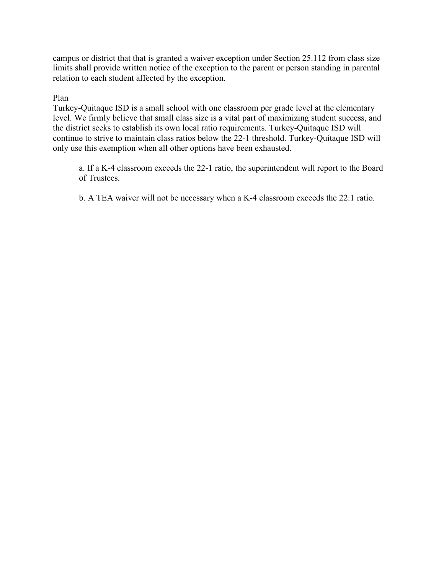campus or district that that is granted a waiver exception under Section 25.112 from class size limits shall provide written notice of the exception to the parent or person standing in parental relation to each student affected by the exception.

#### Plan

Turkey-Quitaque ISD is a small school with one classroom per grade level at the elementary level. We firmly believe that small class size is a vital part of maximizing student success, and the district seeks to establish its own local ratio requirements. Turkey-Quitaque ISD will continue to strive to maintain class ratios below the 22-1 threshold. Turkey-Quitaque ISD will only use this exemption when all other options have been exhausted.

a. If a K-4 classroom exceeds the 22-1 ratio, the superintendent will report to the Board of Trustees.

b. A TEA waiver will not be necessary when a K-4 classroom exceeds the 22:1 ratio.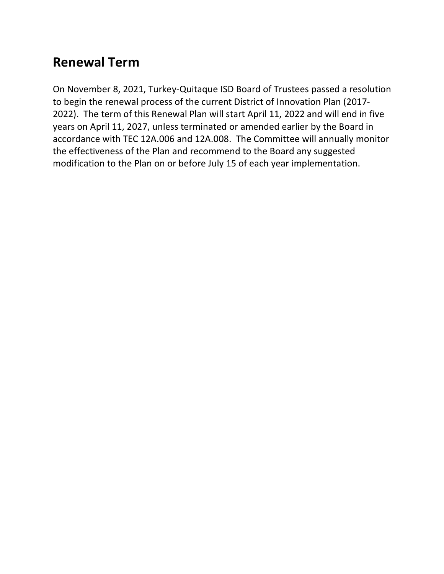# **Renewal Term**

On November 8, 2021, Turkey-Quitaque ISD Board of Trustees passed a resolution to begin the renewal process of the current District of Innovation Plan (2017- 2022). The term of this Renewal Plan will start April 11, 2022 and will end in five years on April 11, 2027, unless terminated or amended earlier by the Board in accordance with TEC 12A.006 and 12A.008. The Committee will annually monitor the effectiveness of the Plan and recommend to the Board any suggested modification to the Plan on or before July 15 of each year implementation.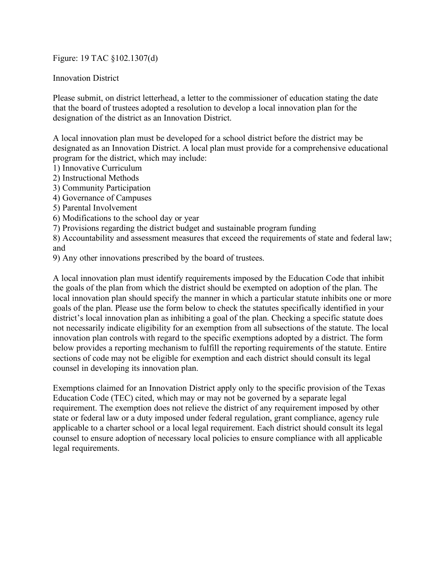#### Figure: 19 TAC §102.1307(d)

Innovation District

Please submit, on district letterhead, a letter to the commissioner of education stating the date that the board of trustees adopted a resolution to develop a local innovation plan for the designation of the district as an Innovation District.

A local innovation plan must be developed for a school district before the district may be designated as an Innovation District. A local plan must provide for a comprehensive educational program for the district, which may include:

- 1) Innovative Curriculum
- 2) Instructional Methods
- 3) Community Participation
- 4) Governance of Campuses
- 5) Parental Involvement
- 6) Modifications to the school day or year
- 7) Provisions regarding the district budget and sustainable program funding

8) Accountability and assessment measures that exceed the requirements of state and federal law; and

9) Any other innovations prescribed by the board of trustees.

A local innovation plan must identify requirements imposed by the Education Code that inhibit the goals of the plan from which the district should be exempted on adoption of the plan. The local innovation plan should specify the manner in which a particular statute inhibits one or more goals of the plan. Please use the form below to check the statutes specifically identified in your district's local innovation plan as inhibiting a goal of the plan. Checking a specific statute does not necessarily indicate eligibility for an exemption from all subsections of the statute. The local innovation plan controls with regard to the specific exemptions adopted by a district. The form below provides a reporting mechanism to fulfill the reporting requirements of the statute. Entire sections of code may not be eligible for exemption and each district should consult its legal counsel in developing its innovation plan.

Exemptions claimed for an Innovation District apply only to the specific provision of the Texas Education Code (TEC) cited, which may or may not be governed by a separate legal requirement. The exemption does not relieve the district of any requirement imposed by other state or federal law or a duty imposed under federal regulation, grant compliance, agency rule applicable to a charter school or a local legal requirement. Each district should consult its legal counsel to ensure adoption of necessary local policies to ensure compliance with all applicable legal requirements.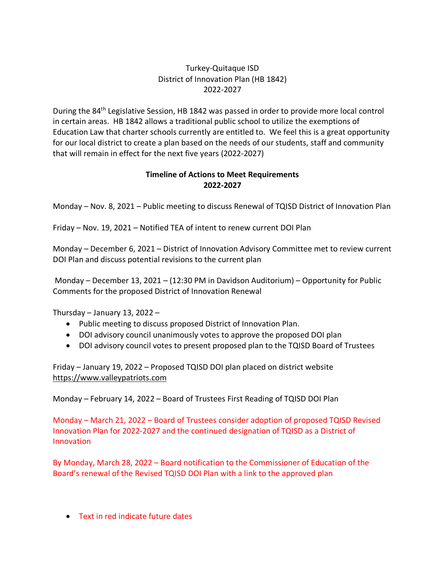#### Turkey-Quitaque ISD District of Innovation Plan (HB 1842) 2022-2027

During the 84<sup>th</sup> Legislative Session, HB 1842 was passed in order to provide more local control in certain areas. HB 1842 allows a traditional public school to utilize the exemptions of Education Law that charter schools currently are entitled to. We feel this is a great opportunity for our local district to create a plan based on the needs of our students, staff and community that will remain in effect for the next five years (2022-2027)

#### **Timeline of Actions to Meet Requirements 2022-2027**

Monday – Nov. 8, 2021 – Public meeting to discuss Renewal of TQISD District of Innovation Plan

Friday – Nov. 19, 2021 – Notified TEA of intent to renew current DOI Plan

Monday – December 6, 2021 – District of Innovation Advisory Committee met to review current DOI Plan and discuss potential revisions to the current plan

Monday – December 13, 2021 – (12:30 PM in Davidson Auditorium) – Opportunity for Public Comments for the proposed District of Innovation Renewal

Thursday – January 13, 2022 –

- Public meeting to discuss proposed District of Innovation Plan.
- DOI advisory council unanimously votes to approve the proposed DOI plan
- DOI advisory council votes to present proposed plan to the TQISD Board of Trustees

Friday – January 19, 2022 – Proposed TQISD DOI plan placed on district website https://www.valleypatriots.com

Monday – February 14, 2022 – Board of Trustees First Reading of TQISD DOI Plan

Monday – March 21, 2022 – Board of Trustees consider adoption of proposed TQISD Revised Innovation Plan for 2022-2027 and the continued designation of TQISD as a District of Innovation

By Monday, March 28, 2022 – Board notification to the Commissioner of Education of the Board's renewal of the Revised TQISD DOI Plan with a link to the approved plan

• Text in red indicate future dates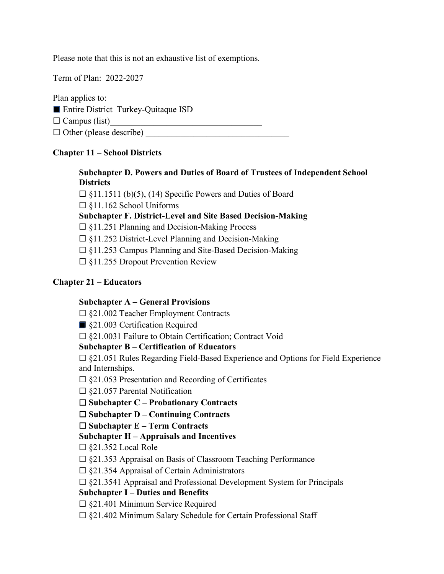Please note that this is not an exhaustive list of exemptions.

Term of Plan: 2022-2027

Plan applies to:

■ Entire District Turkey-Quitaque ISD

 $\Box$  Campus (list)

 $\Box$  Other (please describe)

#### **Chapter 11 – School Districts**

#### **Subchapter D. Powers and Duties of Board of Trustees of Independent School Districts**

 $\Box$  §11.1511 (b)(5), (14) Specific Powers and Duties of Board

☐ §11.162 School Uniforms

**Subchapter F. District-Level and Site Based Decision-Making** 

☐ §11.251 Planning and Decision-Making Process

 $\Box$  §11.252 District-Level Planning and Decision-Making

☐ §11.253 Campus Planning and Site-Based Decision-Making

☐ §11.255 Dropout Prevention Review

#### **Chapter 21 – Educators**

#### **Subchapter A – General Provisions**

☐ §21.002 Teacher Employment Contracts

■ §21.003 Certification Required

☐ §21.0031 Failure to Obtain Certification; Contract Void

**Subchapter B – Certification of Educators** 

 $\square$  §21.051 Rules Regarding Field-Based Experience and Options for Field Experience and Internships.

 $\Box$  §21.053 Presentation and Recording of Certificates

 $\square$  §21.057 Parental Notification

☐ **Subchapter C – Probationary Contracts** 

☐ **Subchapter D – Continuing Contracts** 

#### ☐ **Subchapter E – Term Contracts**

#### **Subchapter H – Appraisals and Incentives**

☐ §21.352 Local Role

 $\Box$  §21.353 Appraisal on Basis of Classroom Teaching Performance

 $\square$  §21.354 Appraisal of Certain Administrators

 $\square$  §21.3541 Appraisal and Professional Development System for Principals

#### **Subchapter I – Duties and Benefits**

 $\Box$  §21.401 Minimum Service Required

☐ §21.402 Minimum Salary Schedule for Certain Professional Staff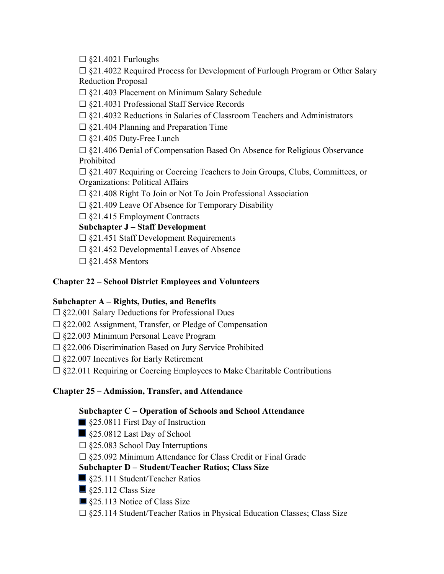$\square$  §21.4021 Furloughs

☐ §21.4022 Required Process for Development of Furlough Program or Other Salary Reduction Proposal

☐ §21.403 Placement on Minimum Salary Schedule

☐ §21.4031 Professional Staff Service Records

- ☐ §21.4032 Reductions in Salaries of Classroom Teachers and Administrators
- $\Box$  §21.404 Planning and Preparation Time
- ☐ §21.405 Duty-Free Lunch

☐ §21.406 Denial of Compensation Based On Absence for Religious Observance Prohibited

☐ §21.407 Requiring or Coercing Teachers to Join Groups, Clubs, Committees, or Organizations: Political Affairs

☐ §21.408 Right To Join or Not To Join Professional Association

 $\Box$  §21.409 Leave Of Absence for Temporary Disability

☐ §21.415 Employment Contracts

### **Subchapter J – Staff Development**

 $\Box$  §21.451 Staff Development Requirements

 $\square$  §21.452 Developmental Leaves of Absence

 $\square$  §21.458 Mentors

# **Chapter 22 – School District Employees and Volunteers**

# **Subchapter A – Rights, Duties, and Benefits**

 $\square$  §22.001 Salary Deductions for Professional Dues

- ☐ §22.002 Assignment, Transfer, or Pledge of Compensation
- ☐ §22.003 Minimum Personal Leave Program
- ☐ §22.006 Discrimination Based on Jury Service Prohibited
- $\Box$  §22.007 Incentives for Early Retirement

 $\square$  §22.011 Requiring or Coercing Employees to Make Charitable Contributions

# **Chapter 25 – Admission, Transfer, and Attendance**

#### **Subchapter C – Operation of Schools and School Attendance**

- §25.0811 First Day of Instruction
- §25.0812 Last Day of School
- $\square$  §25.083 School Day Interruptions
- ☐ §25.092 Minimum Attendance for Class Credit or Final Grade

# **Subchapter D – Student/Teacher Ratios; Class Size**

- §25.111 Student/Teacher Ratios
- §25.112 Class Size
- §25.113 Notice of Class Size
- ☐ §25.114 Student/Teacher Ratios in Physical Education Classes; Class Size